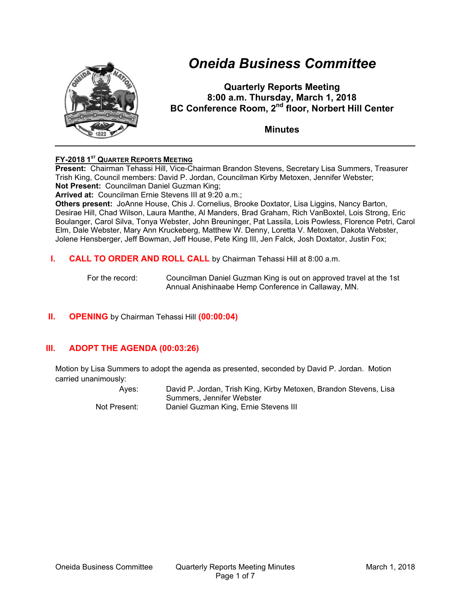

# *Oneida Business Committee*

**Quarterly Reports Meeting 8:00 a.m. Thursday, March 1, 2018 BC Conference Room, 2<sup>nd</sup> floor, Norbert Hill Center** 

**Minutes** 

# **FY-2018 1ST QUARTER REPORTS MEETING**

**Present:** Chairman Tehassi Hill, Vice-Chairman Brandon Stevens, Secretary Lisa Summers, Treasurer Trish King, Council members: David P. Jordan, Councilman Kirby Metoxen, Jennifer Webster; **Not Present:** Councilman Daniel Guzman King;

**Arrived at:** Councilman Ernie Stevens III at 9:20 a.m.;

**Others present:** JoAnne House, Chis J. Cornelius, Brooke Doxtator, Lisa Liggins, Nancy Barton, Desirae Hill, Chad Wilson, Laura Manthe, Al Manders, Brad Graham, Rich VanBoxtel, Lois Strong, Eric Boulanger, Carol Silva, Tonya Webster, John Breuninger, Pat Lassila, Lois Powless, Florence Petri, Carol Elm, Dale Webster, Mary Ann Kruckeberg, Matthew W. Denny, Loretta V. Metoxen, Dakota Webster, Jolene Hensberger, Jeff Bowman, Jeff House, Pete King III, Jen Falck, Josh Doxtator, Justin Fox;

**I. CALL TO ORDER AND ROLL CALL** by Chairman Tehassi Hill at 8:00 a.m.

For the record: Councilman Daniel Guzman King is out on approved travel at the 1st Annual Anishinaabe Hemp Conference in Callaway, MN.

# **II. OPENING** by Chairman Tehassi Hill **(00:00:04)**

# **III. ADOPT THE AGENDA (00:03:26)**

Motion by Lisa Summers to adopt the agenda as presented, seconded by David P. Jordan. Motion carried unanimously:

Ayes: David P. Jordan, Trish King, Kirby Metoxen, Brandon Stevens, Lisa Summers, Jennifer Webster Not Present: Daniel Guzman King, Ernie Stevens III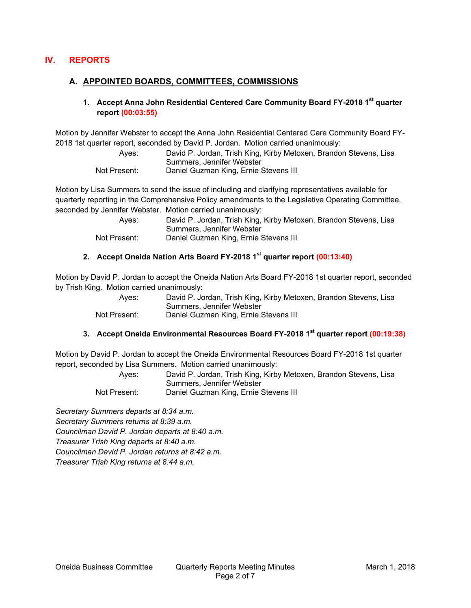# **IV. REPORTS**

## **A. APPOINTED BOARDS, COMMITTEES, COMMISSIONS**

## **1. Accept Anna John Residential Centered Care Community Board FY-2018 1st quarter report (00:03:55)**

Motion by Jennifer Webster to accept the Anna John Residential Centered Care Community Board FY-2018 1st quarter report, seconded by David P. Jordan. Motion carried unanimously:

> Ayes: David P. Jordan, Trish King, Kirby Metoxen, Brandon Stevens, Lisa Summers, Jennifer Webster Not Present: Daniel Guzman King, Ernie Stevens III

Motion by Lisa Summers to send the issue of including and clarifying representatives available for quarterly reporting in the Comprehensive Policy amendments to the Legislative Operating Committee, seconded by Jennifer Webster. Motion carried unanimously:

| Aves:        | David P. Jordan, Trish King, Kirby Metoxen, Brandon Stevens, Lisa |
|--------------|-------------------------------------------------------------------|
|              | Summers. Jennifer Webster                                         |
| Not Present: | Daniel Guzman King, Ernie Stevens III                             |

# **2. Accept Oneida Nation Arts Board FY-2018 1st quarter report (00:13:40)**

Motion by David P. Jordan to accept the Oneida Nation Arts Board FY-2018 1st quarter report, seconded by Trish King. Motion carried unanimously:

| Aves:        | David P. Jordan, Trish King, Kirby Metoxen, Brandon Stevens, Lisa |
|--------------|-------------------------------------------------------------------|
|              | Summers. Jennifer Webster                                         |
| Not Present: | Daniel Guzman King, Ernie Stevens III                             |

# **3. Accept Oneida Environmental Resources Board FY-2018 1st quarter report (00:19:38)**

Motion by David P. Jordan to accept the Oneida Environmental Resources Board FY-2018 1st quarter report, seconded by Lisa Summers. Motion carried unanimously:

| Aves:        | David P. Jordan, Trish King, Kirby Metoxen, Brandon Stevens, Lisa |
|--------------|-------------------------------------------------------------------|
|              | Summers, Jennifer Webster                                         |
| Not Present: | Daniel Guzman King, Ernie Stevens III                             |

*Secretary Summers departs at 8:34 a.m. Secretary Summers returns at 8:39 a.m. Councilman David P. Jordan departs at 8:40 a.m. Treasurer Trish King departs at 8:40 a.m. Councilman David P. Jordan returns at 8:42 a.m. Treasurer Trish King returns at 8:44 a.m.*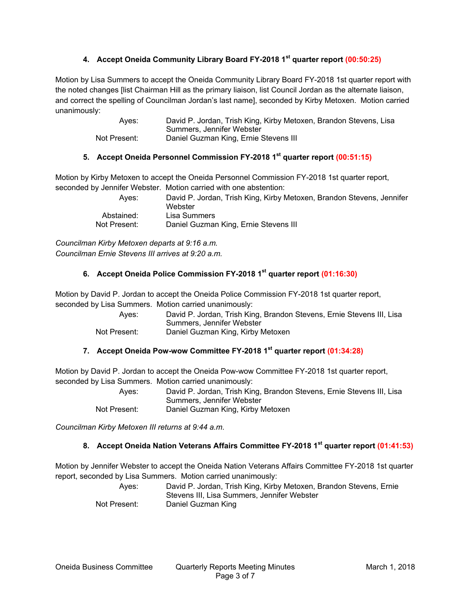# **4. Accept Oneida Community Library Board FY-2018 1st quarter report (00:50:25)**

Motion by Lisa Summers to accept the Oneida Community Library Board FY-2018 1st quarter report with the noted changes [list Chairman Hill as the primary liaison, list Council Jordan as the alternate liaison, and correct the spelling of Councilman Jordan's last name], seconded by Kirby Metoxen. Motion carried unanimously:

> Ayes: David P. Jordan, Trish King, Kirby Metoxen, Brandon Stevens, Lisa Summers, Jennifer Webster Not Present: Daniel Guzman King, Ernie Stevens III

## **5. Accept Oneida Personnel Commission FY-2018 1st quarter report (00:51:15)**

Motion by Kirby Metoxen to accept the Oneida Personnel Commission FY-2018 1st quarter report, seconded by Jennifer Webster. Motion carried with one abstention:

| Aves:        | David P. Jordan, Trish King, Kirby Metoxen, Brandon Stevens, Jennifer<br>Webster |
|--------------|----------------------------------------------------------------------------------|
| Abstained:   | Lisa Summers                                                                     |
| Not Present: | Daniel Guzman King, Ernie Stevens III                                            |

*Councilman Kirby Metoxen departs at 9:16 a.m. Councilman Ernie Stevens III arrives at 9:20 a.m.* 

#### **6. Accept Oneida Police Commission FY-2018 1st quarter report (01:16:30)**

Motion by David P. Jordan to accept the Oneida Police Commission FY-2018 1st quarter report, seconded by Lisa Summers. Motion carried unanimously:

| Ayes:        | David P. Jordan, Trish King, Brandon Stevens, Ernie Stevens III, Lisa |
|--------------|-----------------------------------------------------------------------|
|              | Summers. Jennifer Webster                                             |
| Not Present: | Daniel Guzman King, Kirby Metoxen                                     |

#### **7. Accept Oneida Pow-wow Committee FY-2018 1st quarter report (01:34:28)**

Motion by David P. Jordan to accept the Oneida Pow-wow Committee FY-2018 1st quarter report, seconded by Lisa Summers. Motion carried unanimously:

> Ayes: David P. Jordan, Trish King, Brandon Stevens, Ernie Stevens III, Lisa Summers, Jennifer Webster Not Present: Daniel Guzman King, Kirby Metoxen

*Councilman Kirby Metoxen III returns at 9:44 a.m.* 

## **8. Accept Oneida Nation Veterans Affairs Committee FY-2018 1st quarter report (01:41:53)**

Motion by Jennifer Webster to accept the Oneida Nation Veterans Affairs Committee FY-2018 1st quarter report, seconded by Lisa Summers. Motion carried unanimously:

| Aves:        | David P. Jordan, Trish King, Kirby Metoxen, Brandon Stevens, Ernie |
|--------------|--------------------------------------------------------------------|
|              | Stevens III. Lisa Summers. Jennifer Webster                        |
| Not Present: | Daniel Guzman King                                                 |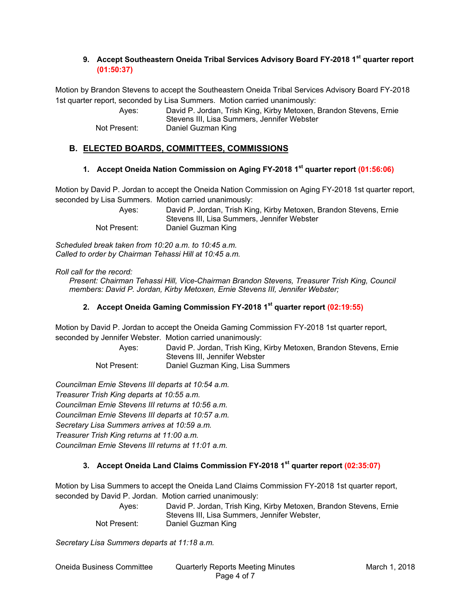# **9. Accept Southeastern Oneida Tribal Services Advisory Board FY-2018 1st quarter report (01:50:37)**

Motion by Brandon Stevens to accept the Southeastern Oneida Tribal Services Advisory Board FY-2018 1st quarter report, seconded by Lisa Summers. Motion carried unanimously:

> Ayes: David P. Jordan, Trish King, Kirby Metoxen, Brandon Stevens, Ernie Stevens III, Lisa Summers, Jennifer Webster Not Present: Daniel Guzman King

# **B. ELECTED BOARDS, COMMITTEES, COMMISSIONS**

#### **1. Accept Oneida Nation Commission on Aging FY-2018 1st quarter report (01:56:06)**

Motion by David P. Jordan to accept the Oneida Nation Commission on Aging FY-2018 1st quarter report, seconded by Lisa Summers. Motion carried unanimously:

| Aves:        | David P. Jordan, Trish King, Kirby Metoxen, Brandon Stevens, Ernie |
|--------------|--------------------------------------------------------------------|
|              | Stevens III, Lisa Summers, Jennifer Webster                        |
| Not Present: | Daniel Guzman King                                                 |

*Scheduled break taken from 10:20 a.m. to 10:45 a.m. Called to order by Chairman Tehassi Hill at 10:45 a.m.* 

#### *Roll call for the record:*

*Present: Chairman Tehassi Hill, Vice-Chairman Brandon Stevens, Treasurer Trish King, Council members: David P. Jordan, Kirby Metoxen, Ernie Stevens III, Jennifer Webster;* 

#### **2. Accept Oneida Gaming Commission FY-2018 1st quarter report (02:19:55)**

Motion by David P. Jordan to accept the Oneida Gaming Commission FY-2018 1st quarter report, seconded by Jennifer Webster. Motion carried unanimously:

> Ayes: David P. Jordan, Trish King, Kirby Metoxen, Brandon Stevens, Ernie Stevens III, Jennifer Webster

Not Present: Daniel Guzman King, Lisa Summers

*Councilman Ernie Stevens III departs at 10:54 a.m. Treasurer Trish King departs at 10:55 a.m. Councilman Ernie Stevens III returns at 10:56 a.m. Councilman Ernie Stevens III departs at 10:57 a.m. Secretary Lisa Summers arrives at 10:59 a.m. Treasurer Trish King returns at 11:00 a.m. Councilman Ernie Stevens III returns at 11:01 a.m.*

#### **3. Accept Oneida Land Claims Commission FY-2018 1st quarter report (02:35:07)**

Motion by Lisa Summers to accept the Oneida Land Claims Commission FY-2018 1st quarter report, seconded by David P. Jordan. Motion carried unanimously:

| Aves:        | David P. Jordan, Trish King, Kirby Metoxen, Brandon Stevens, Ernie |
|--------------|--------------------------------------------------------------------|
|              | Stevens III, Lisa Summers, Jennifer Webster,                       |
| Not Present: | Daniel Guzman King                                                 |

*Secretary Lisa Summers departs at 11:18 a.m.*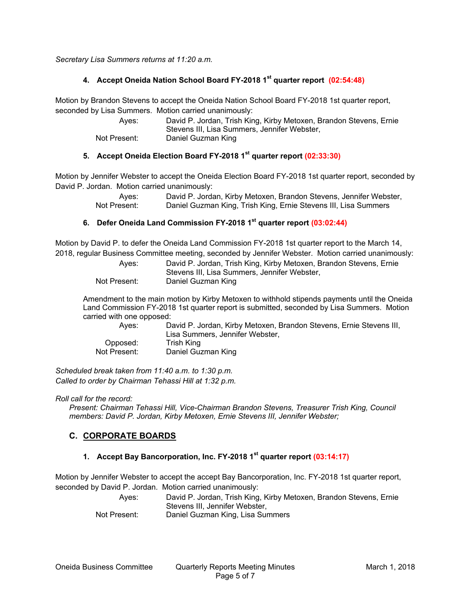*Secretary Lisa Summers returns at 11:20 a.m.* 

## **4. Accept Oneida Nation School Board FY-2018 1st quarter report (02:54:48)**

Motion by Brandon Stevens to accept the Oneida Nation School Board FY-2018 1st quarter report, seconded by Lisa Summers. Motion carried unanimously:

| Aves:        | David P. Jordan, Trish King, Kirby Metoxen, Brandon Stevens, Ernie |
|--------------|--------------------------------------------------------------------|
|              | Stevens III, Lisa Summers, Jennifer Webster,                       |
| Not Present: | Daniel Guzman King                                                 |

# **5. Accept Oneida Election Board FY-2018 1st quarter report (02:33:30)**

Motion by Jennifer Webster to accept the Oneida Election Board FY-2018 1st quarter report, seconded by David P. Jordan. Motion carried unanimously:

> Ayes: David P. Jordan, Kirby Metoxen, Brandon Stevens, Jennifer Webster,<br>Not Present: Daniel Guzman King, Trish King, Ernie Stevens III, Lisa Summers Daniel Guzman King, Trish King, Ernie Stevens III, Lisa Summers

## **6. Defer Oneida Land Commission FY-2018 1st quarter report (03:02:44)**

Motion by David P. to defer the Oneida Land Commission FY-2018 1st quarter report to the March 14, 2018, regular Business Committee meeting, seconded by Jennifer Webster. Motion carried unanimously:

| Aves:        | David P. Jordan, Trish King, Kirby Metoxen, Brandon Stevens, Ernie |
|--------------|--------------------------------------------------------------------|
|              | Stevens III, Lisa Summers, Jennifer Webster,                       |
| Not Present: | Daniel Guzman King                                                 |

Amendment to the main motion by Kirby Metoxen to withhold stipends payments until the Oneida Land Commission FY-2018 1st quarter report is submitted, seconded by Lisa Summers. Motion carried with one opposed:

| Aves:        | David P. Jordan, Kirby Metoxen, Brandon Stevens, Ernie Stevens III, |
|--------------|---------------------------------------------------------------------|
|              | Lisa Summers, Jennifer Webster,                                     |
| Opposed:     | Trish Kina                                                          |
| Not Present: | Daniel Guzman King                                                  |

*Scheduled break taken from 11:40 a.m. to 1:30 p.m. Called to order by Chairman Tehassi Hill at 1:32 p.m.* 

*Roll call for the record:* 

*Present: Chairman Tehassi Hill, Vice-Chairman Brandon Stevens, Treasurer Trish King, Council members: David P. Jordan, Kirby Metoxen, Ernie Stevens III, Jennifer Webster;* 

# **C. CORPORATE BOARDS**

## **1. Accept Bay Bancorporation, Inc. FY-2018 1st quarter report (03:14:17)**

Motion by Jennifer Webster to accept the accept Bay Bancorporation, Inc. FY-2018 1st quarter report, seconded by David P. Jordan. Motion carried unanimously:

Ayes: David P. Jordan, Trish King, Kirby Metoxen, Brandon Stevens, Ernie Stevens III, Jennifer Webster, Not Present: Daniel Guzman King, Lisa Summers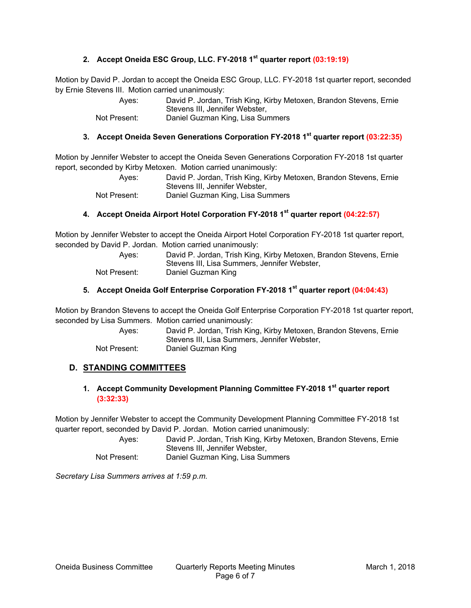# **2. Accept Oneida ESC Group, LLC. FY-2018 1st quarter report (03:19:19)**

Motion by David P. Jordan to accept the Oneida ESC Group, LLC. FY-2018 1st quarter report, seconded by Ernie Stevens III. Motion carried unanimously:

| Aves:        | David P. Jordan, Trish King, Kirby Metoxen, Brandon Stevens, Ernie |
|--------------|--------------------------------------------------------------------|
|              | Stevens III. Jennifer Webster.                                     |
| Not Present: | Daniel Guzman King, Lisa Summers                                   |

## **3. Accept Oneida Seven Generations Corporation FY-2018 1st quarter report (03:22:35)**

Motion by Jennifer Webster to accept the Oneida Seven Generations Corporation FY-2018 1st quarter report, seconded by Kirby Metoxen. Motion carried unanimously:

> Ayes: David P. Jordan, Trish King, Kirby Metoxen, Brandon Stevens, Ernie Stevens III, Jennifer Webster, Not Present: Daniel Guzman King, Lisa Summers

## **4. Accept Oneida Airport Hotel Corporation FY-2018 1st quarter report (04:22:57)**

Motion by Jennifer Webster to accept the Oneida Airport Hotel Corporation FY-2018 1st quarter report, seconded by David P. Jordan. Motion carried unanimously:

| Aves:        | David P. Jordan, Trish King, Kirby Metoxen, Brandon Stevens, Ernie |
|--------------|--------------------------------------------------------------------|
|              | Stevens III. Lisa Summers. Jennifer Webster.                       |
| Not Present: | Daniel Guzman King                                                 |

## **5. Accept Oneida Golf Enterprise Corporation FY-2018 1st quarter report (04:04:43)**

Motion by Brandon Stevens to accept the Oneida Golf Enterprise Corporation FY-2018 1st quarter report, seconded by Lisa Summers. Motion carried unanimously:

| Aves:        | David P. Jordan, Trish King, Kirby Metoxen, Brandon Stevens, Ernie |
|--------------|--------------------------------------------------------------------|
|              | Stevens III, Lisa Summers, Jennifer Webster,                       |
| Not Present: | Daniel Guzman King                                                 |

#### **D. STANDING COMMITTEES**

## **1. Accept Community Development Planning Committee FY-2018 1st quarter report (3:32:33)**

Motion by Jennifer Webster to accept the Community Development Planning Committee FY-2018 1st quarter report, seconded by David P. Jordan. Motion carried unanimously:

> Ayes: David P. Jordan, Trish King, Kirby Metoxen, Brandon Stevens, Ernie Stevens III, Jennifer Webster, Not Present: Daniel Guzman King, Lisa Summers

*Secretary Lisa Summers arrives at 1:59 p.m.*